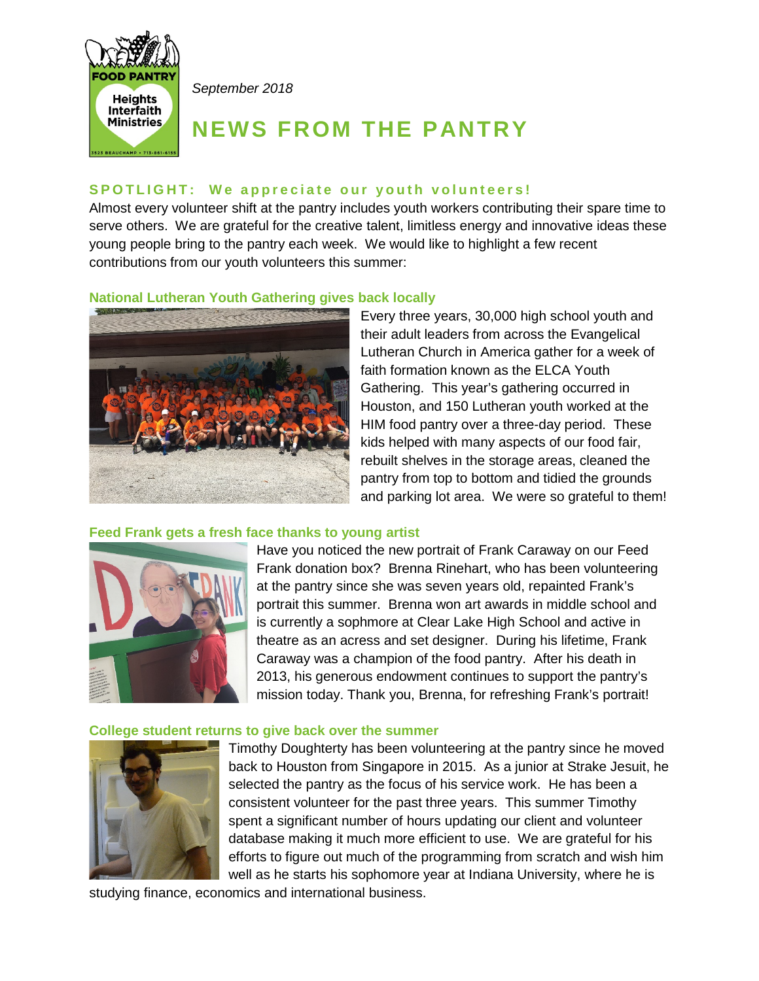

*September 2018*

# **NEWS FROM THE PANTRY**

## SPOTLIGHT: We appreciate our youth volunteers!

Almost every volunteer shift at the pantry includes youth workers contributing their spare time to serve others. We are grateful for the creative talent, limitless energy and innovative ideas these young people bring to the pantry each week. We would like to highlight a few recent contributions from our youth volunteers this summer:

## **National Lutheran Youth Gathering gives back locally**



Every three years, 30,000 high school youth and their adult leaders from across the Evangelical Lutheran Church in America gather for a week of faith formation known as the ELCA Youth Gathering. This year's gathering occurred in Houston, and 150 Lutheran youth worked at the HIM food pantry over a three-day period. These kids helped with many aspects of our food fair, rebuilt shelves in the storage areas, cleaned the pantry from top to bottom and tidied the grounds and parking lot area. We were so grateful to them!

## **Feed Frank gets a fresh face thanks to young artist**



Have you noticed the new portrait of Frank Caraway on our Feed Frank donation box? Brenna Rinehart, who has been volunteering at the pantry since she was seven years old, repainted Frank's portrait this summer. Brenna won art awards in middle school and is currently a sophmore at Clear Lake High School and active in theatre as an acress and set designer. During his lifetime, Frank Caraway was a champion of the food pantry. After his death in 2013, his generous endowment continues to support the pantry's mission today. Thank you, Brenna, for refreshing Frank's portrait!

#### **College student returns to give back over the summer**



Timothy Doughterty has been volunteering at the pantry since he moved back to Houston from Singapore in 2015. As a junior at Strake Jesuit, he selected the pantry as the focus of his service work. He has been a consistent volunteer for the past three years. This summer Timothy spent a significant number of hours updating our client and volunteer database making it much more efficient to use. We are grateful for his efforts to figure out much of the programming from scratch and wish him well as he starts his sophomore year at Indiana University, where he is

studying finance, economics and international business.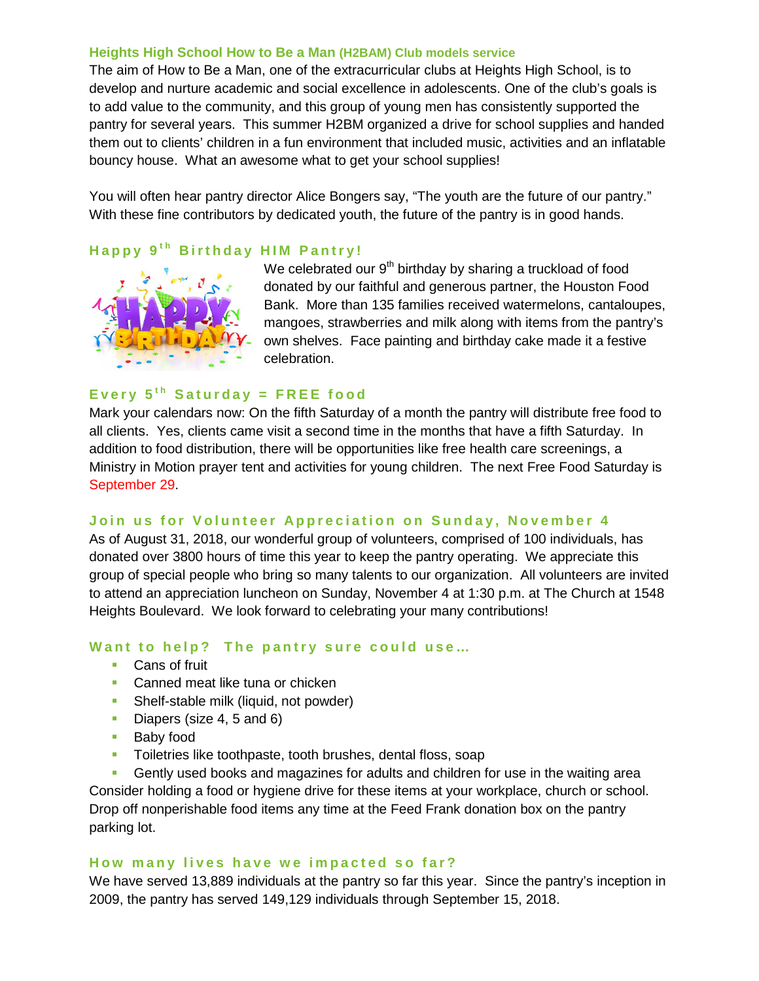#### **Heights High School How to Be a Man (H2BAM) Club models service**

The aim of How to Be a Man, one of the extracurricular clubs at Heights High School, is to develop and nurture academic and social excellence in adolescents. One of the club's goals is to add value to the community, and this group of young men has consistently supported the pantry for several years. This summer H2BM organized a drive for school supplies and handed them out to clients' children in a fun environment that included music, activities and an inflatable bouncy house. What an awesome what to get your school supplies!

You will often hear pantry director Alice Bongers say, "The youth are the future of our pantry." With these fine contributors by dedicated youth, the future of the pantry is in good hands.

## **Happy 9<sup>th</sup> Birthday HIM Pantry!**



We celebrated our  $9<sup>th</sup>$  birthday by sharing a truckload of food donated by our faithful and generous partner, the Houston Food Bank. More than 135 families received watermelons, cantaloupes, mangoes, strawberries and milk along with items from the pantry's own shelves. Face painting and birthday cake made it a festive celebration.

## Every  $5<sup>th</sup>$  Saturday = FREE food

Mark your calendars now: On the fifth Saturday of a month the pantry will distribute free food to all clients. Yes, clients came visit a second time in the months that have a fifth Saturday. In addition to food distribution, there will be opportunities like free health care screenings, a Ministry in Motion prayer tent and activities for young children. The next Free Food Saturday is September 29.

## **Join us for Volunteer Appreciat ion on Sunday, November 4**

As of August 31, 2018, our wonderful group of volunteers, comprised of 100 individuals, has donated over 3800 hours of time this year to keep the pantry operating. We appreciate this group of special people who bring so many talents to our organization. All volunteers are invited to attend an appreciation luncheon on Sunday, November 4 at 1:30 p.m. at The Church at 1548 Heights Boulevard. We look forward to celebrating your many contributions!

## **Want to help? The pantry sure could use…**

- Cans of fruit
- **Canned meat like tuna or chicken**
- **Shelf-stable milk (liquid, not powder)**
- Diapers (size 4, 5 and 6)
- Baby food
- Toiletries like toothpaste, tooth brushes, dental floss, soap
- Gently used books and magazines for adults and children for use in the waiting area

Consider holding a food or hygiene drive for these items at your workplace, church or school. Drop off nonperishable food items any time at the Feed Frank donation box on the pantry parking lot.

#### **How many lives have we impacted so far?**

We have served 13,889 individuals at the pantry so far this year. Since the pantry's inception in 2009, the pantry has served 149,129 individuals through September 15, 2018.